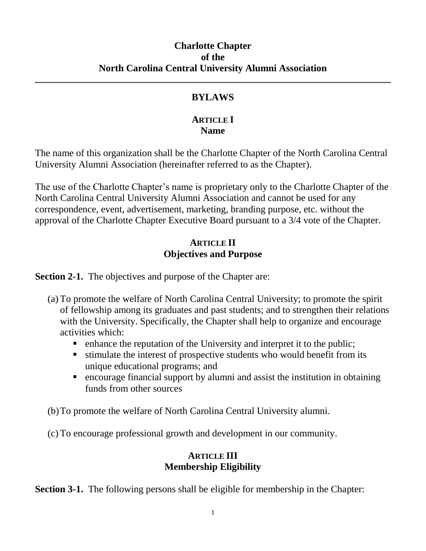### **Charlotte Chapter of the North Carolina Central University Alumni Association**

# **BYLAWS**

## **ARTICLE I Name**

The name of this organization shall be the Charlotte Chapter of the North Carolina Central University Alumni Association (hereinafter referred to as the Chapter).

The use of the Charlotte Chapter's name is proprietary only to the Charlotte Chapter of the North Carolina Central University Alumni Association and cannot be used for any correspondence, event, advertisement, marketing, branding purpose, etc. without the approval of the Charlotte Chapter Executive Board pursuant to a 3/4 vote of the Chapter.

## **ARTICLE II Objectives and Purpose**

**Section 2-1.** The objectives and purpose of the Chapter are:

- (a) To promote the welfare of North Carolina Central University; to promote the spirit of fellowship among its graduates and past students; and to strengthen their relations with the University. Specifically, the Chapter shall help to organize and encourage activities which:
	- enhance the reputation of the University and interpret it to the public;
	- stimulate the interest of prospective students who would benefit from its unique educational programs; and
	- encourage financial support by alumni and assist the institution in obtaining funds from other sources

(b)To promote the welfare of North Carolina Central University alumni.

(c) To encourage professional growth and development in our community.

## **ARTICLE III Membership Eligibility**

**Section 3-1.** The following persons shall be eligible for membership in the Chapter: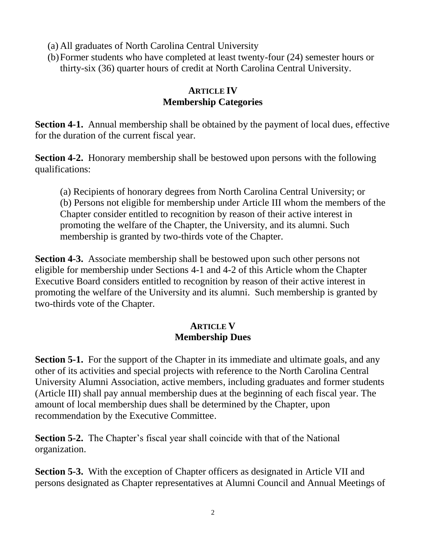(a) All graduates of North Carolina Central University

(b)Former students who have completed at least twenty-four (24) semester hours or thirty-six (36) quarter hours of credit at North Carolina Central University.

## **ARTICLE IV Membership Categories**

**Section 4-1.** Annual membership shall be obtained by the payment of local dues, effective for the duration of the current fiscal year.

**Section 4-2.** Honorary membership shall be bestowed upon persons with the following qualifications:

(a) Recipients of honorary degrees from North Carolina Central University; or (b) Persons not eligible for membership under Article III whom the members of the Chapter consider entitled to recognition by reason of their active interest in promoting the welfare of the Chapter, the University, and its alumni. Such membership is granted by two-thirds vote of the Chapter.

**Section 4-3.** Associate membership shall be bestowed upon such other persons not eligible for membership under Sections 4-1 and 4-2 of this Article whom the Chapter Executive Board considers entitled to recognition by reason of their active interest in promoting the welfare of the University and its alumni. Such membership is granted by two-thirds vote of the Chapter.

#### **ARTICLE V Membership Dues**

**Section 5-1.** For the support of the Chapter in its immediate and ultimate goals, and any other of its activities and special projects with reference to the North Carolina Central University Alumni Association, active members, including graduates and former students (Article III) shall pay annual membership dues at the beginning of each fiscal year. The amount of local membership dues shall be determined by the Chapter, upon recommendation by the Executive Committee.

**Section 5-2.** The Chapter's fiscal year shall coincide with that of the National organization.

**Section 5-3.** With the exception of Chapter officers as designated in Article VII and persons designated as Chapter representatives at Alumni Council and Annual Meetings of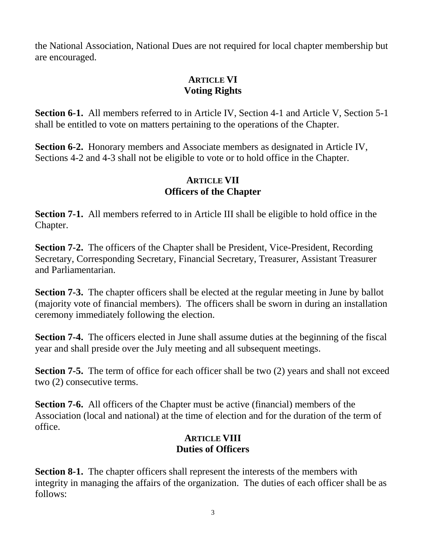the National Association, National Dues are not required for local chapter membership but are encouraged.

# **ARTICLE VI Voting Rights**

**Section 6-1.** All members referred to in Article IV, Section 4-1 and Article V, Section 5-1 shall be entitled to vote on matters pertaining to the operations of the Chapter.

**Section 6-2.** Honorary members and Associate members as designated in Article IV, Sections 4-2 and 4-3 shall not be eligible to vote or to hold office in the Chapter.

## **ARTICLE VII Officers of the Chapter**

**Section 7-1.** All members referred to in Article III shall be eligible to hold office in the Chapter.

**Section 7-2.** The officers of the Chapter shall be President, Vice-President, Recording Secretary, Corresponding Secretary, Financial Secretary, Treasurer, Assistant Treasurer and Parliamentarian.

**Section 7-3.** The chapter officers shall be elected at the regular meeting in June by ballot (majority vote of financial members). The officers shall be sworn in during an installation ceremony immediately following the election.

**Section 7-4.** The officers elected in June shall assume duties at the beginning of the fiscal year and shall preside over the July meeting and all subsequent meetings.

**Section 7-5.** The term of office for each officer shall be two (2) years and shall not exceed two (2) consecutive terms.

**Section 7-6.** All officers of the Chapter must be active (financial) members of the Association (local and national) at the time of election and for the duration of the term of office.

## **ARTICLE VIII Duties of Officers**

**Section 8-1.** The chapter officers shall represent the interests of the members with integrity in managing the affairs of the organization. The duties of each officer shall be as follows: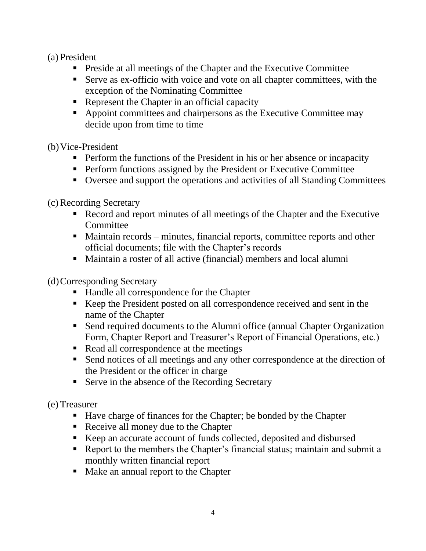### (a) President

- Preside at all meetings of the Chapter and the Executive Committee
- Serve as ex-officio with voice and vote on all chapter committees, with the exception of the Nominating Committee
- Represent the Chapter in an official capacity
- Appoint committees and chairpersons as the Executive Committee may decide upon from time to time

(b)Vice-President

- **•** Perform the functions of the President in his or her absence or incapacity
- **•** Perform functions assigned by the President or Executive Committee
- Oversee and support the operations and activities of all Standing Committees

(c) Recording Secretary

- Record and report minutes of all meetings of the Chapter and the Executive **Committee**
- Maintain records minutes, financial reports, committee reports and other official documents; file with the Chapter's records
- Maintain a roster of all active (financial) members and local alumni

(d)Corresponding Secretary

- Handle all correspondence for the Chapter
- Keep the President posted on all correspondence received and sent in the name of the Chapter
- Send required documents to the Alumni office (annual Chapter Organization Form, Chapter Report and Treasurer's Report of Financial Operations, etc.)
- Read all correspondence at the meetings
- Send notices of all meetings and any other correspondence at the direction of the President or the officer in charge
- Serve in the absence of the Recording Secretary

(e) Treasurer

- Have charge of finances for the Chapter; be bonded by the Chapter
- Receive all money due to the Chapter
- Keep an accurate account of funds collected, deposited and disbursed
- Report to the members the Chapter's financial status; maintain and submit a monthly written financial report
- Make an annual report to the Chapter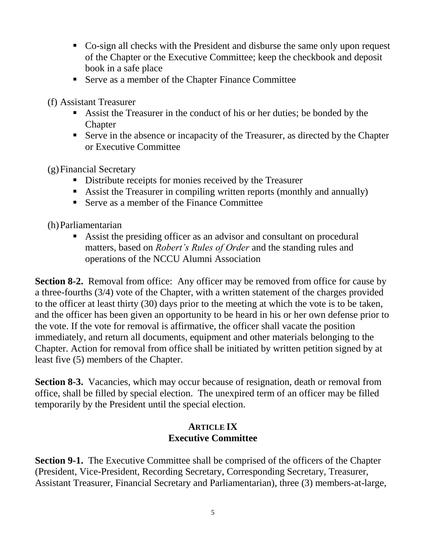- Co-sign all checks with the President and disburse the same only upon request of the Chapter or the Executive Committee; keep the checkbook and deposit book in a safe place
- Serve as a member of the Chapter Finance Committee

(f) Assistant Treasurer

- Assist the Treasurer in the conduct of his or her duties; be bonded by the **Chapter**
- Serve in the absence or incapacity of the Treasurer, as directed by the Chapter or Executive Committee

(g)Financial Secretary

- Distribute receipts for monies received by the Treasurer
- Assist the Treasurer in compiling written reports (monthly and annually)
- Serve as a member of the Finance Committee
- (h)Parliamentarian
	- Assist the presiding officer as an advisor and consultant on procedural matters, based on *Robert's Rules of Order* and the standing rules and operations of the NCCU Alumni Association

**Section 8-2.** Removal from office: Any officer may be removed from office for cause by a three-fourths (3/4) vote of the Chapter, with a written statement of the charges provided to the officer at least thirty (30) days prior to the meeting at which the vote is to be taken, and the officer has been given an opportunity to be heard in his or her own defense prior to the vote. If the vote for removal is affirmative, the officer shall vacate the position immediately, and return all documents, equipment and other materials belonging to the Chapter. Action for removal from office shall be initiated by written petition signed by at least five (5) members of the Chapter.

**Section 8-3.** Vacancies, which may occur because of resignation, death or removal from office, shall be filled by special election. The unexpired term of an officer may be filled temporarily by the President until the special election.

### **ARTICLE IX Executive Committee**

**Section 9-1.** The Executive Committee shall be comprised of the officers of the Chapter (President, Vice-President, Recording Secretary, Corresponding Secretary, Treasurer, Assistant Treasurer, Financial Secretary and Parliamentarian), three (3) members-at-large,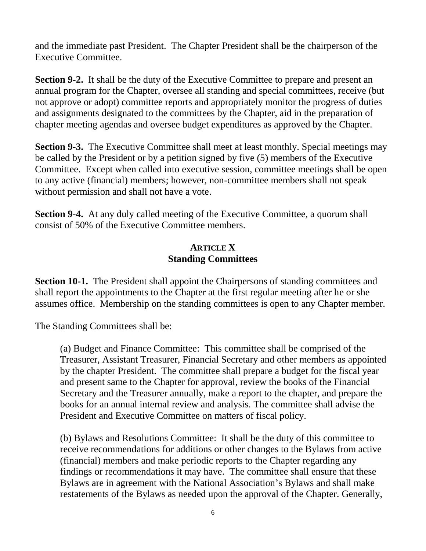and the immediate past President. The Chapter President shall be the chairperson of the Executive Committee.

**Section 9-2.** It shall be the duty of the Executive Committee to prepare and present an annual program for the Chapter, oversee all standing and special committees, receive (but not approve or adopt) committee reports and appropriately monitor the progress of duties and assignments designated to the committees by the Chapter, aid in the preparation of chapter meeting agendas and oversee budget expenditures as approved by the Chapter.

**Section 9-3.** The Executive Committee shall meet at least monthly. Special meetings may be called by the President or by a petition signed by five (5) members of the Executive Committee. Except when called into executive session, committee meetings shall be open to any active (financial) members; however, non-committee members shall not speak without permission and shall not have a vote.

**Section 9-4.** At any duly called meeting of the Executive Committee, a quorum shall consist of 50% of the Executive Committee members.

### **ARTICLE X Standing Committees**

**Section 10-1.** The President shall appoint the Chairpersons of standing committees and shall report the appointments to the Chapter at the first regular meeting after he or she assumes office. Membership on the standing committees is open to any Chapter member.

The Standing Committees shall be:

(a) Budget and Finance Committee: This committee shall be comprised of the Treasurer, Assistant Treasurer, Financial Secretary and other members as appointed by the chapter President. The committee shall prepare a budget for the fiscal year and present same to the Chapter for approval, review the books of the Financial Secretary and the Treasurer annually, make a report to the chapter, and prepare the books for an annual internal review and analysis. The committee shall advise the President and Executive Committee on matters of fiscal policy.

(b) Bylaws and Resolutions Committee: It shall be the duty of this committee to receive recommendations for additions or other changes to the Bylaws from active (financial) members and make periodic reports to the Chapter regarding any findings or recommendations it may have. The committee shall ensure that these Bylaws are in agreement with the National Association's Bylaws and shall make restatements of the Bylaws as needed upon the approval of the Chapter. Generally,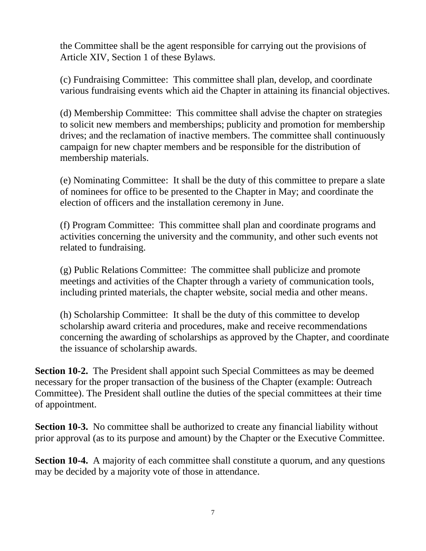the Committee shall be the agent responsible for carrying out the provisions of Article XIV, Section 1 of these Bylaws.

(c) Fundraising Committee: This committee shall plan, develop, and coordinate various fundraising events which aid the Chapter in attaining its financial objectives.

(d) Membership Committee: This committee shall advise the chapter on strategies to solicit new members and memberships; publicity and promotion for membership drives; and the reclamation of inactive members. The committee shall continuously campaign for new chapter members and be responsible for the distribution of membership materials.

(e) Nominating Committee: It shall be the duty of this committee to prepare a slate of nominees for office to be presented to the Chapter in May; and coordinate the election of officers and the installation ceremony in June.

(f) Program Committee: This committee shall plan and coordinate programs and activities concerning the university and the community, and other such events not related to fundraising.

(g) Public Relations Committee: The committee shall publicize and promote meetings and activities of the Chapter through a variety of communication tools, including printed materials, the chapter website, social media and other means.

(h) Scholarship Committee: It shall be the duty of this committee to develop scholarship award criteria and procedures, make and receive recommendations concerning the awarding of scholarships as approved by the Chapter, and coordinate the issuance of scholarship awards.

**Section 10-2.** The President shall appoint such Special Committees as may be deemed necessary for the proper transaction of the business of the Chapter (example: Outreach Committee). The President shall outline the duties of the special committees at their time of appointment.

**Section 10-3.** No committee shall be authorized to create any financial liability without prior approval (as to its purpose and amount) by the Chapter or the Executive Committee.

**Section 10-4.** A majority of each committee shall constitute a quorum, and any questions may be decided by a majority vote of those in attendance.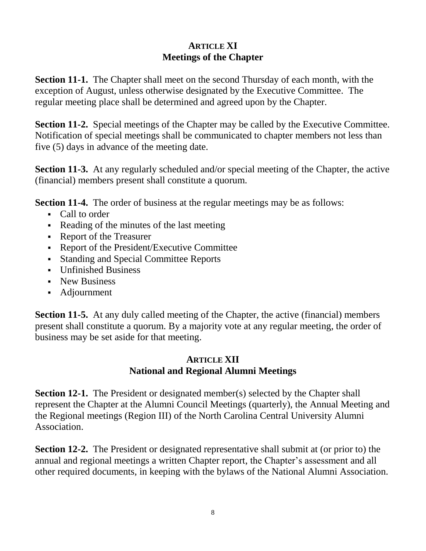## **ARTICLE XI Meetings of the Chapter**

**Section 11-1.** The Chapter shall meet on the second Thursday of each month, with the exception of August, unless otherwise designated by the Executive Committee. The regular meeting place shall be determined and agreed upon by the Chapter.

**Section 11-2.** Special meetings of the Chapter may be called by the Executive Committee. Notification of special meetings shall be communicated to chapter members not less than five (5) days in advance of the meeting date.

**Section 11-3.** At any regularly scheduled and/or special meeting of the Chapter, the active (financial) members present shall constitute a quorum.

**Section 11-4.** The order of business at the regular meetings may be as follows:

- Call to order
- Reading of the minutes of the last meeting
- Report of the Treasurer
- Report of the President/Executive Committee
- Standing and Special Committee Reports
- Unfinished Business
- **E** New Business
- Adjournment

**Section 11-5.** At any duly called meeting of the Chapter, the active (financial) members present shall constitute a quorum. By a majority vote at any regular meeting, the order of business may be set aside for that meeting.

# **ARTICLE XII National and Regional Alumni Meetings**

**Section 12-1.** The President or designated member(s) selected by the Chapter shall represent the Chapter at the Alumni Council Meetings (quarterly), the Annual Meeting and the Regional meetings (Region III) of the North Carolina Central University Alumni Association.

**Section 12-2.** The President or designated representative shall submit at (or prior to) the annual and regional meetings a written Chapter report, the Chapter's assessment and all other required documents, in keeping with the bylaws of the National Alumni Association.